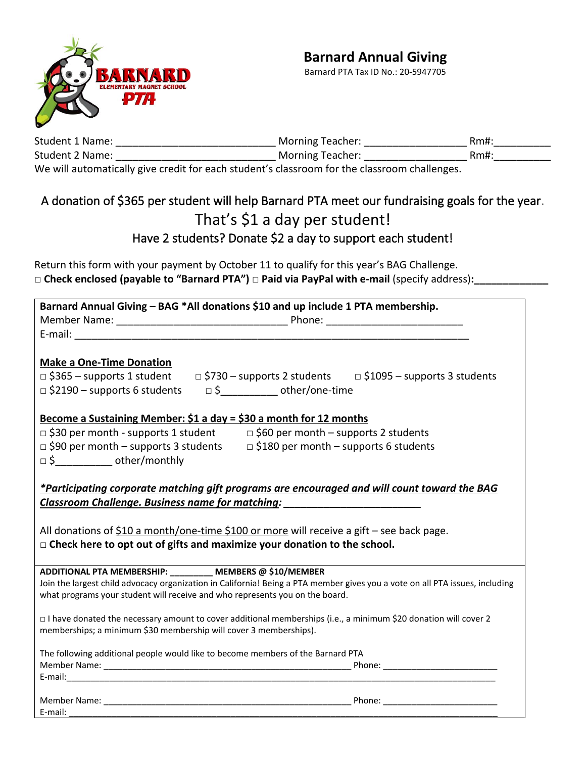

#### **Barnard Annual Giving**

Barnard PTA Tax ID No.: 20-5947705

| Student 1 Name:                                                                                                | Morning Teacher: | Rm#: |
|----------------------------------------------------------------------------------------------------------------|------------------|------|
| Student 2 Name:                                                                                                | Morning Teacher: | Rm#: |
| AAAA - AHAA AAAAAAHAAHAAAAAAAAAAHAA COOSTIC SI SI SI SI SI SI SI SI SI SI SI COOL SI SI SI SI SI SI SI SI SI S |                  |      |

We will automatically give credit for each student's classroom for the classroom challenges.

### A donation of \$365 per student will help Barnard PTA meet our fundraising goals for the year. That's \$1 a day per student! Have 2 students? Donate \$2 a day to support each student!

Return this form with your payment by October 11 to qualify for this year's BAG Challenge. **□ Check enclosed (payable to "Barnard PTA") □ Paid via PayPal with e-mail** (specify address)**:\_\_\_\_\_\_\_\_\_\_\_\_\_**

| Barnard Annual Giving - BAG *All donations \$10 and up include 1 PTA membership.                                             |  |  |  |
|------------------------------------------------------------------------------------------------------------------------------|--|--|--|
|                                                                                                                              |  |  |  |
|                                                                                                                              |  |  |  |
|                                                                                                                              |  |  |  |
| <b>Make a One-Time Donation</b>                                                                                              |  |  |  |
| □ \$365 - supports 1 student   □ \$730 - supports 2 students   □ \$1095 - supports 3 students                                |  |  |  |
| □ \$2190 - supports 6 students = 5 __________ other/one-time                                                                 |  |  |  |
|                                                                                                                              |  |  |  |
| Become a Sustaining Member: \$1 a day = \$30 a month for 12 months                                                           |  |  |  |
| $\Box$ \$30 per month - supports 1 student $\Box$ \$60 per month – supports 2 students                                       |  |  |  |
| $\Box$ \$90 per month – supports 3 students $\Box$ \$180 per month – supports 6 students                                     |  |  |  |
| □ \$______________ other/monthly                                                                                             |  |  |  |
|                                                                                                                              |  |  |  |
| *Participating corporate matching gift programs are encouraged and will count toward the BAG                                 |  |  |  |
| Classroom Challenge. Business name for matching: _______________________________                                             |  |  |  |
|                                                                                                                              |  |  |  |
| All donations of $$10$ a month/one-time $$100$ or more will receive a gift – see back page.                                  |  |  |  |
| $\Box$ Check here to opt out of gifts and maximize your donation to the school.                                              |  |  |  |
|                                                                                                                              |  |  |  |
| ADDITIONAL PTA MEMBERSHIP: ________ MEMBERS @ \$10/MEMBER                                                                    |  |  |  |
| Join the largest child advocacy organization in California! Being a PTA member gives you a vote on all PTA issues, including |  |  |  |
| what programs your student will receive and who represents you on the board.                                                 |  |  |  |
| □ I have donated the necessary amount to cover additional memberships (i.e., a minimum \$20 donation will cover 2            |  |  |  |
| memberships; a minimum \$30 membership will cover 3 memberships).                                                            |  |  |  |
|                                                                                                                              |  |  |  |
| The following additional people would like to become members of the Barnard PTA                                              |  |  |  |
|                                                                                                                              |  |  |  |
|                                                                                                                              |  |  |  |
|                                                                                                                              |  |  |  |
| E-mail:                                                                                                                      |  |  |  |